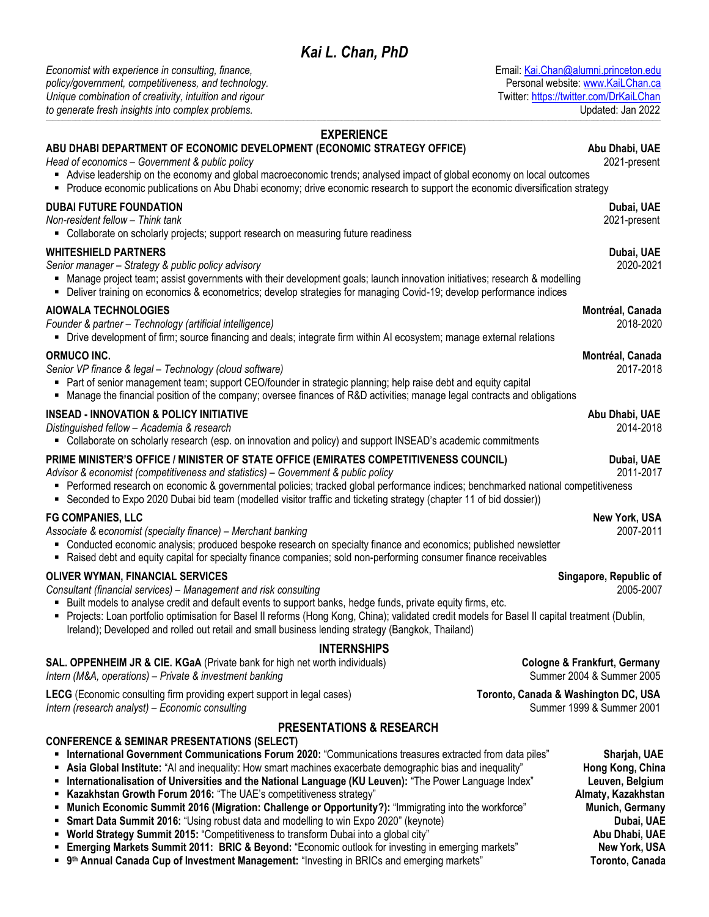*Economist with experience in consulting, finance,* Email: [Kai.Chan@alumni.princeton.edu](mailto:Kai.Chan@alumni.princeton.edu) policy/government, competitiveness, and technology.<br>
Unique combination of creativity, intuition and rigour<br>
Personal website: [www.KaiLChan.ca](http://www.kailchan.ca/) *Unique combination of creativity, intuition and rigour to generate fresh insights into complex problems.* Updated: Jan 2022 **\_\_\_\_\_\_\_\_\_\_\_\_\_\_\_\_\_\_\_\_\_\_\_\_\_\_\_\_\_\_\_\_\_\_\_\_\_\_\_\_\_\_\_\_\_\_\_\_\_\_\_\_\_\_\_\_\_\_\_\_\_\_\_\_\_\_\_\_\_\_\_\_\_\_\_\_\_\_\_\_\_\_\_\_\_\_\_\_\_\_\_\_\_\_\_\_\_\_\_\_\_\_\_\_\_\_\_\_\_\_\_\_\_\_\_\_\_\_\_\_\_\_\_\_\_\_\_\_\_\_\_\_\_\_\_\_\_\_\_\_\_\_\_\_\_\_\_\_\_\_\_\_\_\_\_\_\_\_\_\_\_\_\_\_\_\_\_\_\_\_\_\_\_\_\_\_\_\_\_\_\_\_\_\_\_\_\_\_\_\_\_\_\_\_\_\_\_\_\_\_\_\_\_\_\_\_\_\_\_\_\_\_\_\_\_\_\_\_\_\_\_\_\_\_\_\_\_\_\_\_\_\_\_\_\_\_\_\_\_\_\_\_\_\_\_\_\_\_\_\_\_\_\_\_\_\_\_\_\_\_\_\_\_\_\_\_\_\_\_\_\_\_\_\_\_\_\_\_\_\_\_\_\_\_\_\_\_\_\_\_\_**

## **EXPERIENCE ABU DHABI DEPARTMENT OF ECONOMIC DEVELOPMENT (ECONOMIC STRATEGY OFFICE) Abu Dhabi, UAE** *Head of economics – Government & public policy* 2021-present Advise leadership on the economy and global macroeconomic trends; analysed impact of global economy on local outcomes Produce economic publications on Abu Dhabi economy; drive economic research to support the economic diversification strategy **DUBAI FUTURE FOUNDATION Dubai, UAE** *Non-resident fellow – Think tank* 2021-present • Collaborate on scholarly projects; support research on measuring future readiness **WHITESHIELD PARTNERS** Dubai, UAE *Senior manager – Strategy & public policy advisory* 2020-2021 Manage project team; assist governments with their development goals; launch innovation initiatives; research & modelling Deliver training on economics & econometrics; develop strategies for managing Covid-19; develop performance indices **AIOWALA TECHNOLOGIES Montréal, Canada** *Founder & partner – Technology (artificial intelligence)* 2018-2020 Drive development of firm; source financing and deals; integrate firm within AI ecosystem; manage external relations **ORMUCO INC. Montréal, Canada** *Senior VP finance & legal – Technology (cloud software)* 2017-2018 Part of senior management team; support CEO/founder in strategic planning; help raise debt and equity capital Manage the financial position of the company; oversee finances of R&D activities; manage legal contracts and obligations **INSEAD - INNOVATION & POLICY INITIATIVE Abu Dhabi, UAE** *Distinguished fellow – Academia & research* 2014-2018 Collaborate on scholarly research (esp. on innovation and policy) and support INSEAD's academic commitments **PRIME MINISTER'S OFFICE / MINISTER OF STATE OFFICE (EMIRATES COMPETITIVENESS COUNCIL) Dubai, UAE** *Advisor & economist (competitiveness and statistics) – Government & public policy* 2011-2017 Performed research on economic & governmental policies; tracked global performance indices; benchmarked national competitiveness Seconded to Expo 2020 Dubai bid team (modelled visitor traffic and ticketing strategy (chapter 11 of bid dossier)) **FG COMPANIES, LLC New York, USA** *Associate &* e*conomist (specialty finance) – Merchant banking* 2007-2011 Conducted economic analysis; produced bespoke research on specialty finance and economics; published newsletter Raised debt and equity capital for specialty finance companies; sold non-performing consumer finance receivables **OLIVER WYMAN, FINANCIAL SERVICES Singapore, Republic of** *Consultant (financial services) – Management and risk consulting* 2005-2007 Built models to analyse credit and default events to support banks, hedge funds, private equity firms, etc. Projects: Loan portfolio optimisation for Basel II reforms (Hong Kong, China); validated credit models for Basel II capital treatment (Dublin, Ireland); Developed and rolled out retail and small business lending strategy (Bangkok, Thailand) **INTERNSHIPS SAL. OPPENHEIM JR & CIE. KGaA** (Private bank for high net worth individuals) **Cologne & Frankfurt, Germany** *Intern (M&A, operations) – Private & investment banking* and the state of the state of the state of the Summer 2004 & Summer 2005 **LECG** (Economic consulting firm providing expert support in legal cases) **Toronto, Canada & Washington DC, USA**<br> *Intern (research analyst) – Economic consulting consulting ntern (research analyst) – Economic consulti Intern (research analyst) – Economic consulting* **PRESENTATIONS & RESEARCH CONFERENCE & SEMINAR PRESENTATIONS (SELECT) International Government Communications Forum 2020:** "Communications treasures extracted from data piles" **Sharjah, UAE Asia Global Institute:** "AI and inequality: How smart machines exacerbate demographic bias and inequality" **Hong Kong, China Internationalisation of Universities and the National Language (KU Leuven):** "The Power Language Index" **Leuven, Belgium Kazakhstan Growth Forum 2016:** "The UAE's competitiveness strategy" **Almaty, Kazakhstan** Almaty, Kazakhstan **Munich Economic Summit 2016 (Migration: Challenge or Opportunity?):** "Immigrating into the workforce" **Munich, Germany**<br>**Smart Data Summit 2016:** "Using robust data and modelling to win Expo 2020" (keynote) **Data Summit 2 Smart Data Summit 2016:** "Using robust data and modelling to win Expo 2020" (keynote) **World Strategy Summit 2015:** "Competitiveness to transform Dubai into a global city" **Abu Dhabi, UAE**

- **Emerging Markets Summit 2011: BRIC & Beyond:** "Economic outlook for investing in emerging markets" **New York, USA**
- **P** 9<sup>th</sup> Annual Canada Cup of Investment Management: "Investing in BRICs and emerging markets" **Toronto, Canada**